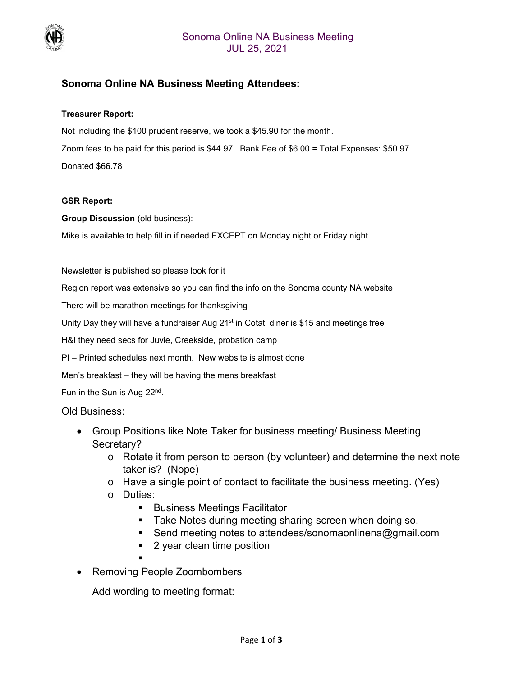

# **Sonoma Online NA Business Meeting Attendees:**

#### **Treasurer Report:**

Not including the \$100 prudent reserve, we took a \$45.90 for the month. Zoom fees to be paid for this period is \$44.97. Bank Fee of \$6.00 = Total Expenses: \$50.97 Donated \$66.78

#### **GSR Report:**

**Group Discussion** (old business):

Mike is available to help fill in if needed EXCEPT on Monday night or Friday night.

Newsletter is published so please look for it

Region report was extensive so you can find the info on the Sonoma county NA website

There will be marathon meetings for thanksgiving

Unity Day they will have a fundraiser Aug  $21<sup>st</sup>$  in Cotati diner is \$15 and meetings free

H&I they need secs for Juvie, Creekside, probation camp

PI – Printed schedules next month. New website is almost done

Men's breakfast – they will be having the mens breakfast

Fun in the Sun is Aug 22nd.

#### Old Business:

- Group Positions like Note Taker for business meeting/ Business Meeting Secretary?
	- o Rotate it from person to person (by volunteer) and determine the next note taker is? (Nope)
	- o Have a single point of contact to facilitate the business meeting. (Yes)
	- o Duties:
		- Business Meetings Facilitator
		- **Take Notes during meeting sharing screen when doing so.**
		- Send meeting notes to attendees/sonomaonlinena@gmail.com
		- 2 year clean time position
		-
- Removing People Zoombombers

Add wording to meeting format: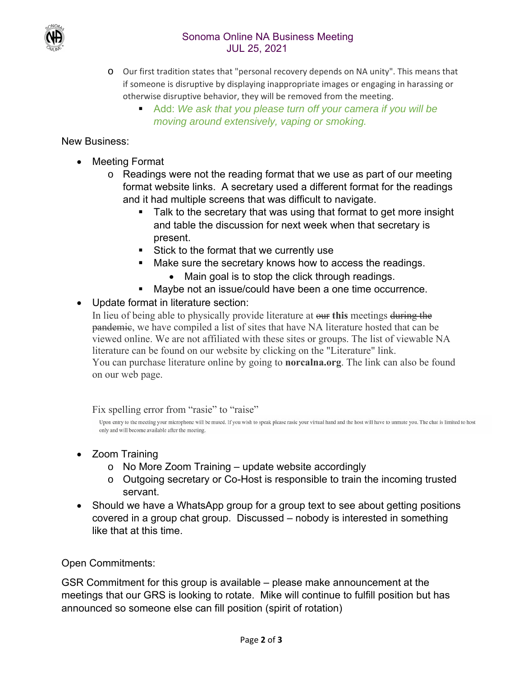



- o Our first tradition states that "personal recovery depends on NA unity". This means that if someone is disruptive by displaying inappropriate images or engaging in harassing or otherwise disruptive behavior, they will be removed from the meeting.
	- Add: *We ask that you please turn off your camera if you will be moving around extensively, vaping or smoking.*

## New Business:

- Meeting Format
	- o Readings were not the reading format that we use as part of our meeting format website links. A secretary used a different format for the readings and it had multiple screens that was difficult to navigate.
		- Talk to the secretary that was using that format to get more insight and table the discussion for next week when that secretary is present.
		- Stick to the format that we currently use
		- **Make sure the secretary knows how to access the readings.** 
			- Main goal is to stop the click through readings.
		- Maybe not an issue/could have been a one time occurrence.

# Update format in literature section:

In lieu of being able to physically provide literature at our **this** meetings during the pandemic, we have compiled a list of sites that have NA literature hosted that can be viewed online. We are not affiliated with these sites or groups. The list of viewable NA literature can be found on our website by clicking on the "Literature" link. You can purchase literature online by going to **norcalna.org**. The link can also be found on our web page.

Fix spelling error from "rasie" to "raise"

Upon entry to the meeting your microphone will be muted. If you wish to speak please rasie your virtual hand and the host will have to unmute you. The chat is limited to host only and will become available after the meeting.

- Zoom Training
	- o No More Zoom Training update website accordingly
	- o Outgoing secretary or Co-Host is responsible to train the incoming trusted servant.
- Should we have a WhatsApp group for a group text to see about getting positions covered in a group chat group. Discussed – nobody is interested in something like that at this time.

### Open Commitments:

GSR Commitment for this group is available – please make announcement at the meetings that our GRS is looking to rotate. Mike will continue to fulfill position but has announced so someone else can fill position (spirit of rotation)